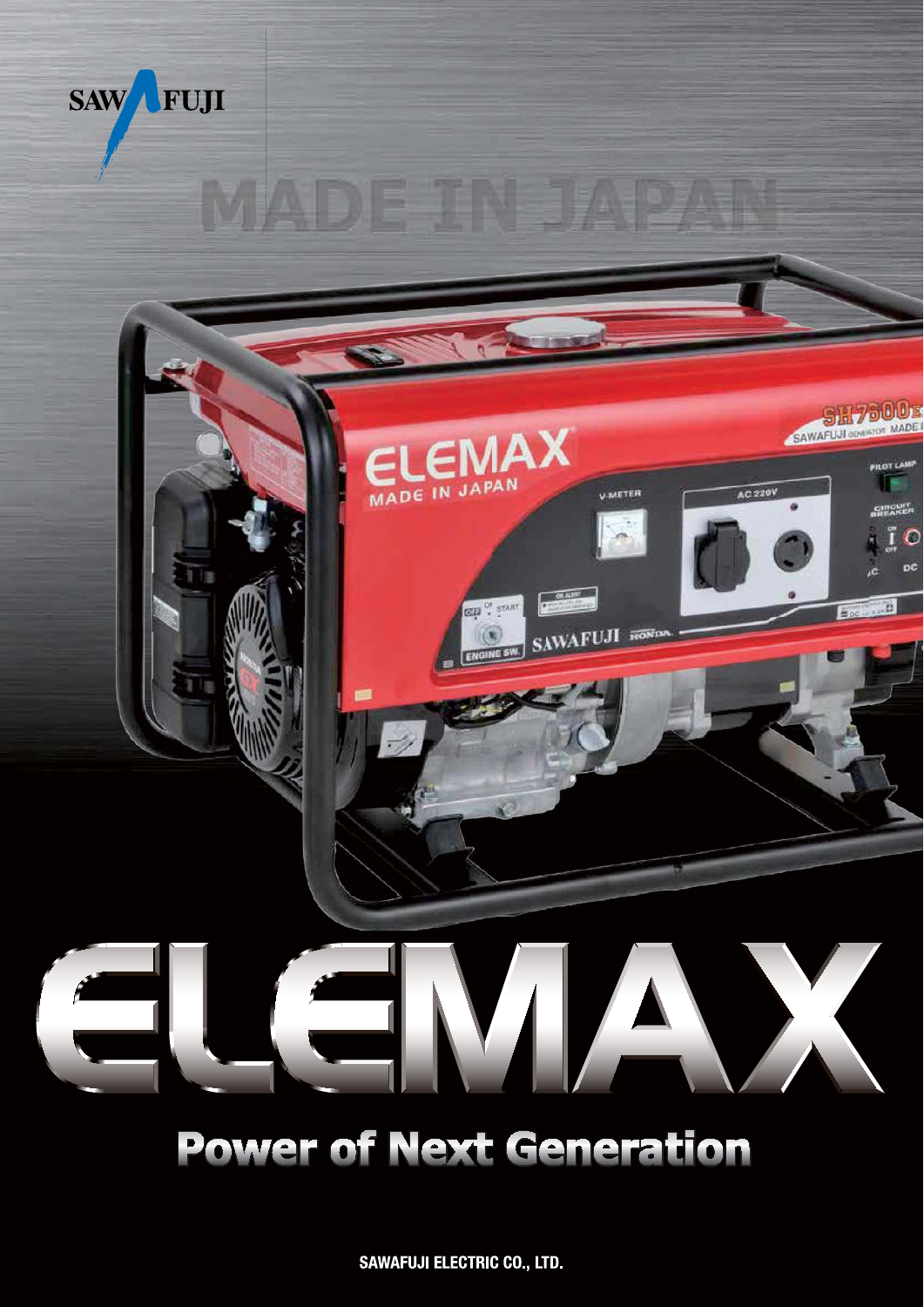

# **Power of Next Generation**

**SAWAFUJI ELECTRIC CO., LTD.**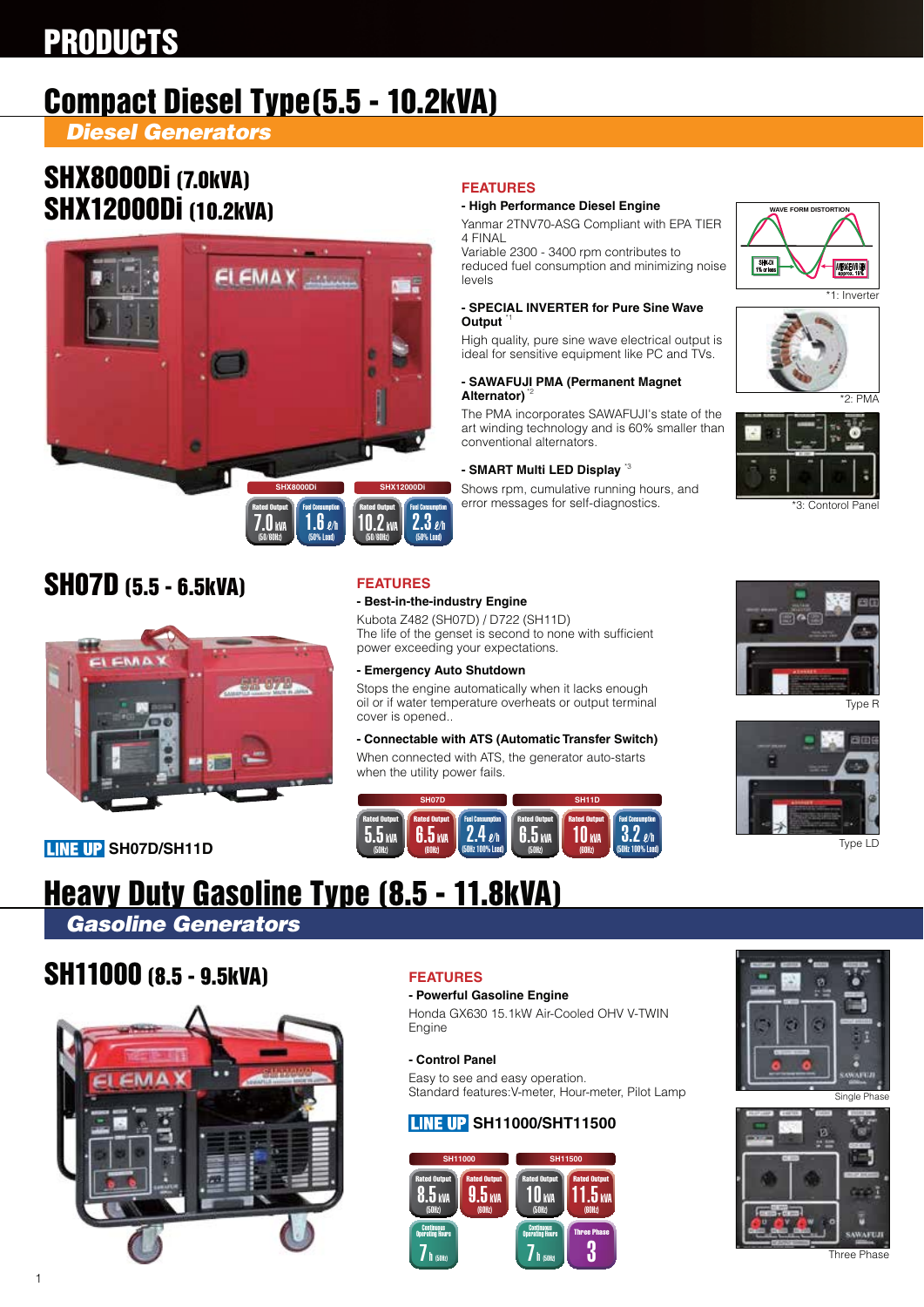## PRODUCTS

## Compact Diesel Type(5.5 - 10.2kVA)

*Diesel Generators*

### SHX8000Di (7.0kVA) SHX12000Di (10.2kVA)



### **FEATURES**

### **- High Performance Diesel Engine**

Yanmar 2TNV70-ASG Compliant with EPA TIER 4 FINAL

Variable 2300 - 3400 rpm contributes to reduced fuel consumption and minimizing noise levels

#### **- SPECIAL INVERTER for Pure Sine Wave Output**

High quality, pure sine wave electrical output is ideal for sensitive equipment like PC and TVs.

### **- SAWAFUJI PMA (Permanent Magnet Alternator)** \*2

The PMA incorporates SAWAFUJI's state of the art winding technology and is 60% smaller than conventional alternators.

### **- SMART Multi LED Display** \*3

Shows rpm, cumulative running hours, and error messages for self-diagnostics.





 $*2.$  PMA



\*3: Contorol Panel

### SH07D (5.5 - 6.5kVA)



### **LINE UP SH07D/SH11D**

### **FEATURES - Best-in-the-industry Engine**

Kubota Z482 (SH07D) / D722 (SH11D)

The life of the genset is second to none with sufficient power exceeding your expectations.

**- Emergency Auto Shutdown**

Stops the engine automatically when it lacks enough oil or if water temperature overheats or output terminal cover is opened..

### **- Connectable with ATS (Automatic Transfer Switch)**

When connected with ATS, the generator auto-starts when the utility power fails.





Type R



Type LD

# Heavy Duty Gasoline Type (8.5 - 11.8kVA)

*Gasoline Generators*

### SH11000 (8.5 - 9.5kVA)



### **FEATURES**

### **- Powerful Gasoline Engine**

Honda GX630 15.1kW Air-Cooled OHV V-TWIN Engine

### **- Control Panel**

Easy to see and easy operation. Standard features:V-meter, Hour-meter, Pilot Lamp

### **LINE UP SH11000/SHT11500**





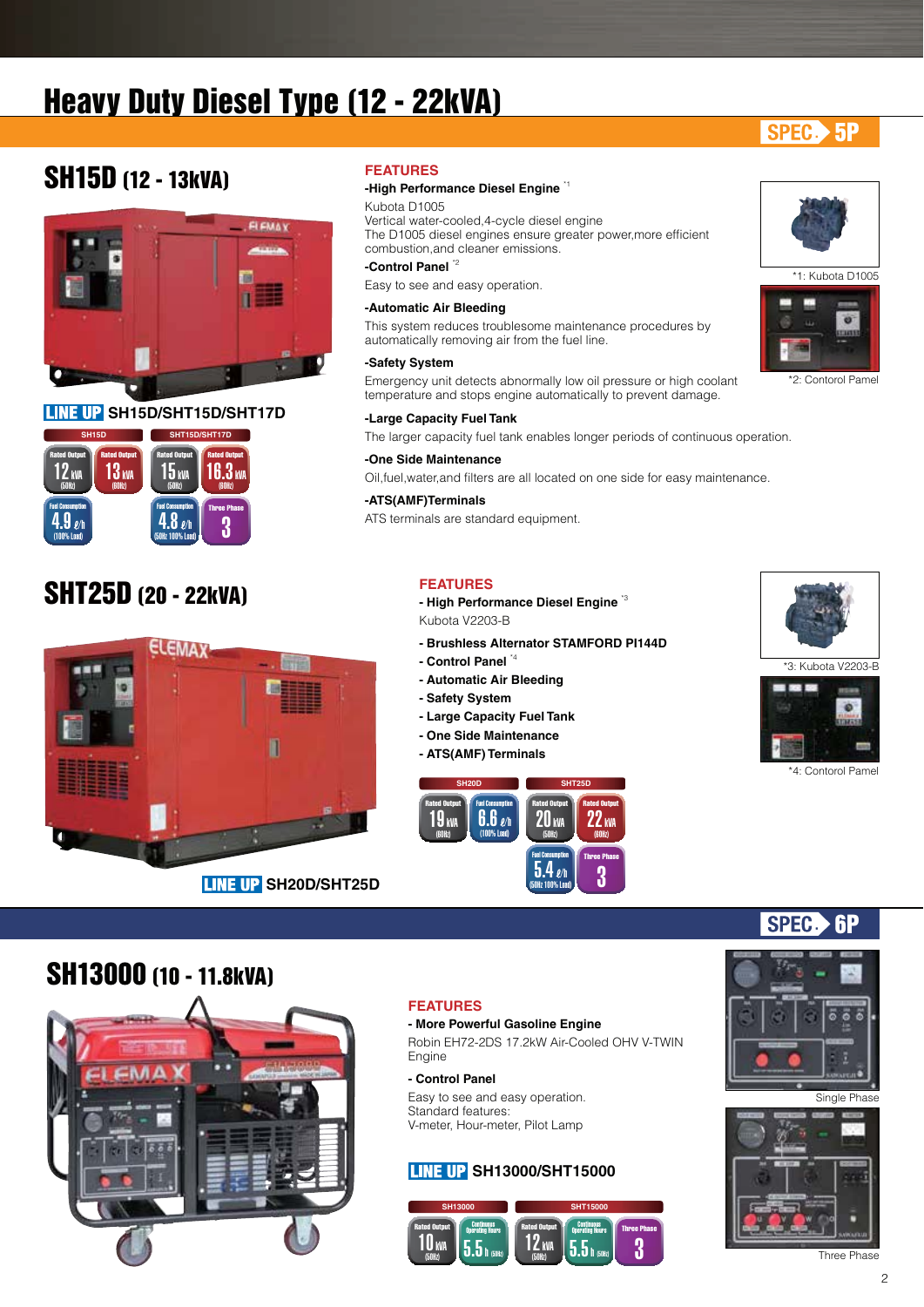## Heavy Duty Diesel Type (12 - 22kVA)

### SPEC. 5P

### SH15D (12 - 13kVA)



**LINE UP SH15D/SHT15D/SHT17D** 



### SHT25D (20 - 22kVA)



### **FEATURES**

### **-High Performance Diesel Engine** \*1

Kubota D1005 Vertical water-cooled,4-cycle diesel engine The D1005 diesel engines ensure greater power,more efficient combustion,and cleaner emissions.

### **-Control Panel** \*2

Easy to see and easy operation.

#### **-Automatic Air Bleeding**

This system reduces troublesome maintenance procedures by automatically removing air from the fuel line.

#### **-Safety System**

Emergency unit detects abnormally low oil pressure or high coolant temperature and stops engine automatically to prevent damage.

### **-Large Capacity Fuel Tank**

The larger capacity fuel tank enables longer periods of continuous operation.

### **-One Side Maintenance**

Oil,fuel,water,and filters are all located on one side for easy maintenance.

### **-ATS(AMF)Terminals**

ATS terminals are standard equipment.

### **FEATURES**

**- High Performance Diesel Engine** \*3 Kubota V2203-B

- **Brushless Alternator STAMFORD PI144D**
- **Control Panel** \*4
- **Automatic Air Bleeding**
- **Safety System**
- **Large Capacity Fuel Tank**
- **One Side Maintenance**
- **ATS(AMF) Terminals**









#### \*4: Contorol Pamel

6P

### SH13000 (10 - 11.8kVA)



### **FEATURES**

#### **- More Powerful Gasoline Engine**

Robin EH72-2DS 17.2kW Air-Cooled OHV V-TWIN Engine

#### **- Control Panel**

Easy to see and easy operation. Standard features: V-meter, Hour-meter, Pilot Lamp

### **LINE UP SH13000/SHT15000**





**SPEC** 



Three Phase





\*2: Contorol Pamel

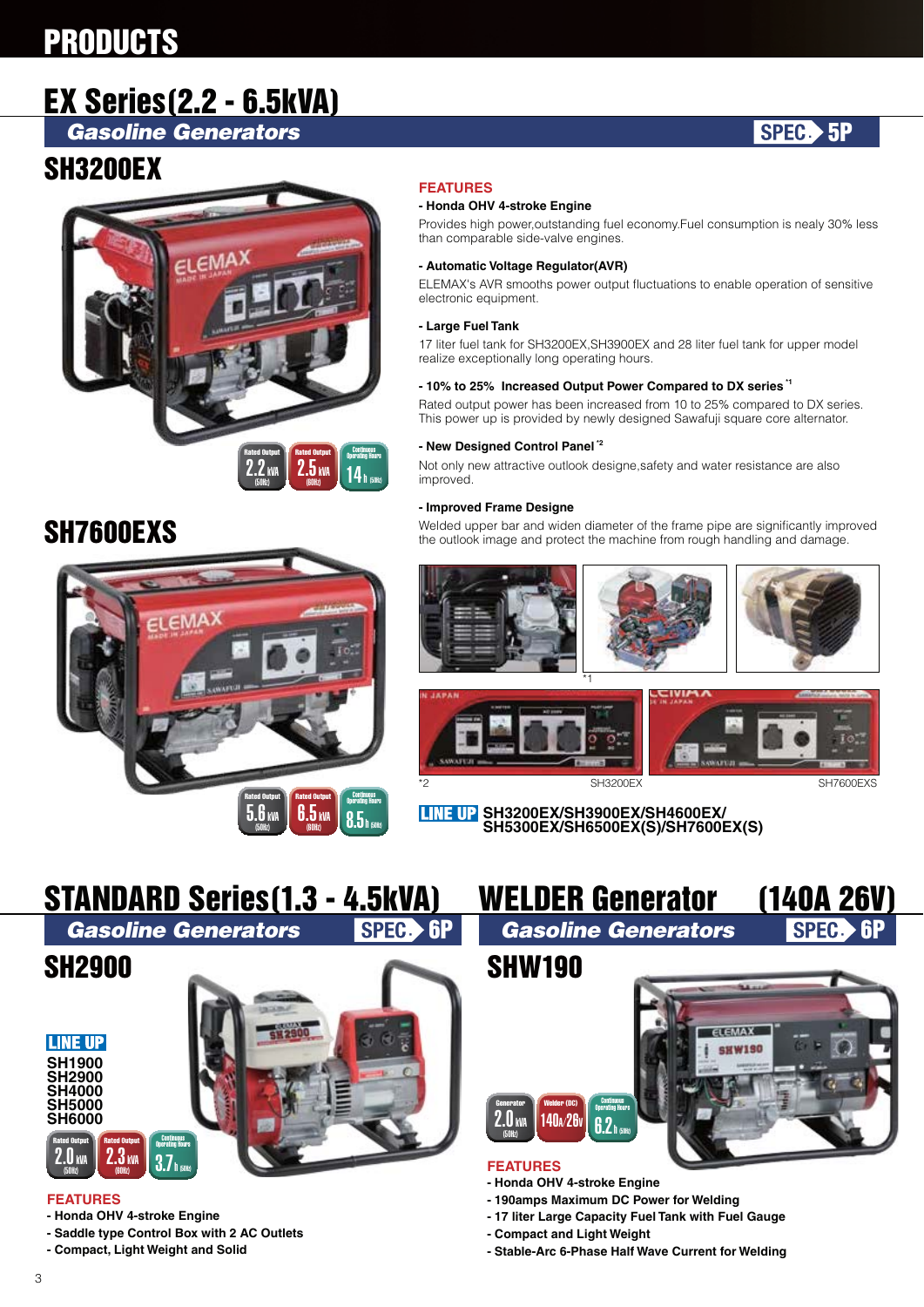## **PRODUCTS**

## EX Series(2.2 - 6.5kVA)

*Gasoline Generators*

### SH3200EX



## SH7600EXS



### **FEATURES**

### **- Honda OHV 4-stroke Engine**

Provides high power,outstanding fuel economy.Fuel consumption is nealy 30% less than comparable side-valve engines.

### **- Automatic Voltage Regulator(AVR)**

ELEMAX's AVR smooths power output fluctuations to enable operation of sensitive electronic equipment.

#### **- Large Fuel Tank**

17 liter fuel tank for SH3200EX,SH3900EX and 28 liter fuel tank for upper model realize exceptionally long operating hours.

### **- 10% to 25% Increased Output Power Compared to DX series \*1**

Rated output power has been increased from 10 to 25% compared to DX series. This power up is provided by newly designed Sawafuji square core alternator.

### **- New Designed Control Panel \*2**

Not only new attractive outlook designe,safety and water resistance are also improved.

#### **- Improved Frame Designe**

Welded upper bar and widen diameter of the frame pipe are significantly improved the outlook image and protect the machine from rough handling and damage.







SPEC. 5P



**SH3200EX/SH3900EX/SH4600EX/ SH5300EX/SH6500EX(S)/SH7600EX(S)**



### **FEATURES**

- **Honda OHV 4-stroke Engine**
- **Saddle type Control Box with 2 AC Outlets**
- **Compact, Light Weight and Solid**



### **FEATURES**

**Generator** 

 $2.0$  kV (50Hz)

- **Honda OHV 4-stroke Engine**
- **190amps Maximum DC Power for Welding**
- **17 liter Large Capacity Fuel Tank with Fuel Gauge**
- **Compact and Light Weight**
- **Stable-Arc 6-Phase Half Wave Current for Welding**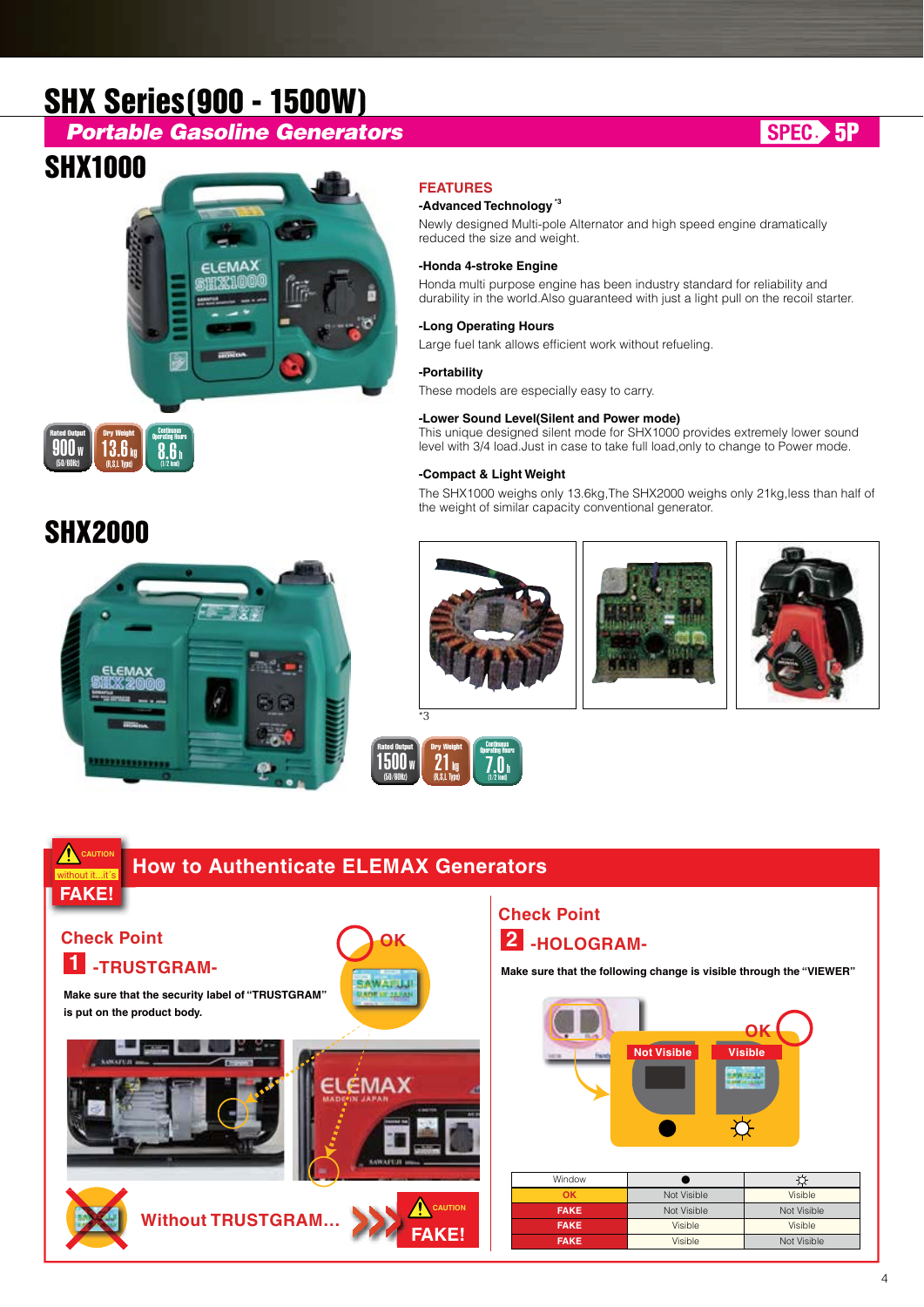## SHX Series(900 - 1500W)

### *Portable Gasoline Generators*

### SHX1000







### SHX2000



### **FEATURES**

### **-Advanced Technology \*3**

Newly designed Multi-pole Alternator and high speed engine dramatically reduced the size and weight.

### **-Honda 4-stroke Engine**

Honda multi purpose engine has been industry standard for reliability and durability in the world.Also guaranteed with just a light pull on the recoil starter.

### **-Long Operating Hours**

Large fuel tank allows efficient work without refueling.

#### **-Portability**

These models are especially easy to carry.

#### **-Lower Sound Level(Silent and Power mode)**

This unique designed silent mode for SHX1000 provides extremely lower sound level with 3/4 load.Just in case to take full load,only to change to Power mode.

#### **-Compact & Light Weight**

The SHX1000 weighs only 13.6kg,The SHX2000 weighs only 21kg,less than half of the weight of similar capacity conventional generator.







Rated Output<br>1500 W

Dry Weight

Continuous Operating Hours

 $7.0$  h

 $21<sub>ky</sub>$ (R,S,L Type)

(50/60Hz)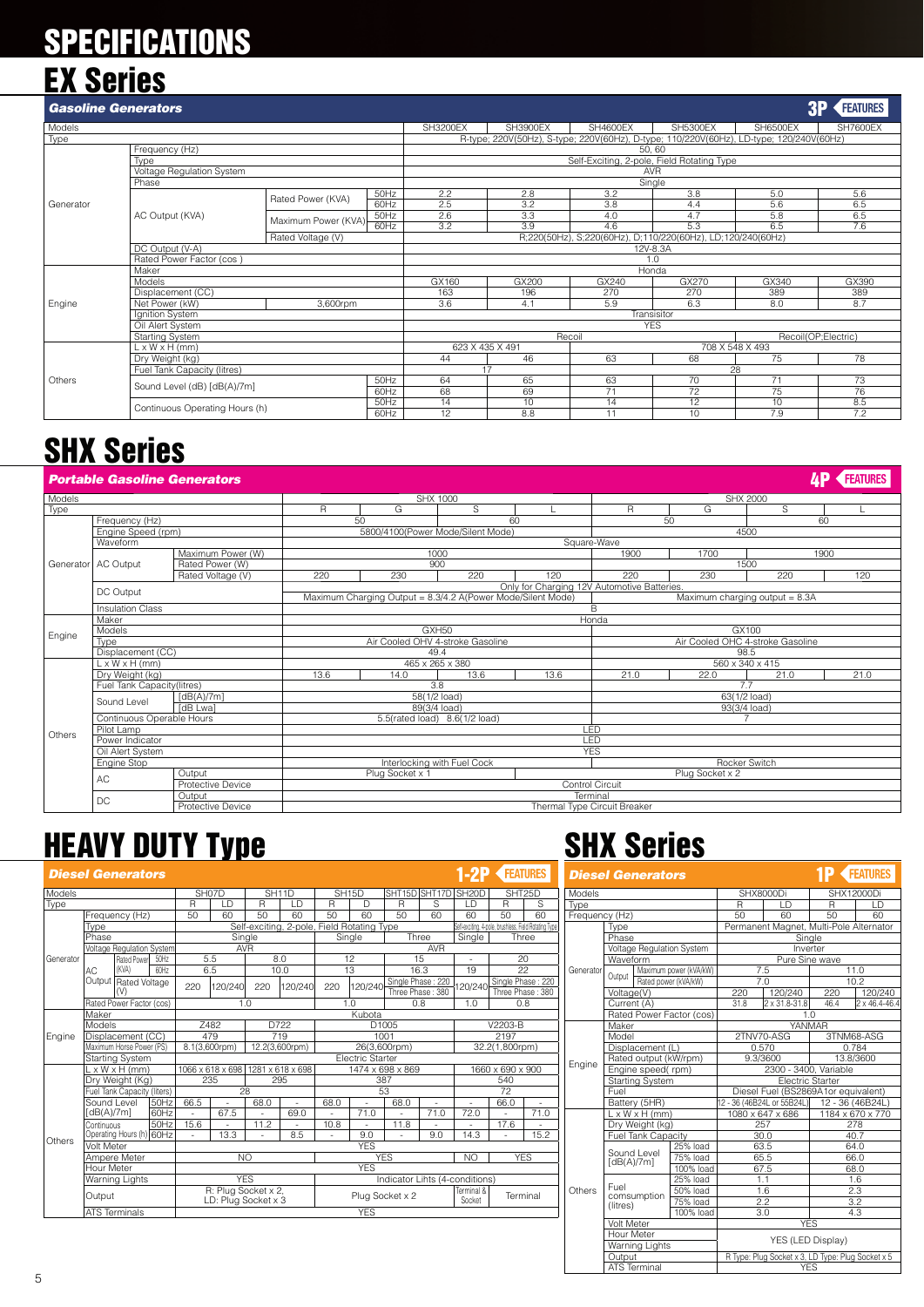## **SPECIFICATIONS** EX Series

|  |  | AН |  |
|--|--|----|--|
|  |  |    |  |

| <b>Gasoline Generators</b> |                                |                     |      |                                            |                 |                 |                                                                                                                                                                                                                                                                                                                                                                                                                                                                           |                 |                 |  |
|----------------------------|--------------------------------|---------------------|------|--------------------------------------------|-----------------|-----------------|---------------------------------------------------------------------------------------------------------------------------------------------------------------------------------------------------------------------------------------------------------------------------------------------------------------------------------------------------------------------------------------------------------------------------------------------------------------------------|-----------------|-----------------|--|
| Models                     |                                |                     |      | <b>SH3200EX</b>                            | <b>SH3900EX</b> | <b>SH4600EX</b> | <b>SH5300EX</b>                                                                                                                                                                                                                                                                                                                                                                                                                                                           | <b>SH6500EX</b> | <b>SH7600EX</b> |  |
| Type                       |                                |                     |      |                                            |                 |                 | <b>BP FEATURES</b><br>R-type; 220V(50Hz), S-type; 220V(60Hz), D-type; 110/220V(60Hz), LD-type; 120/240V(60Hz)<br>50.60<br><b>AVR</b><br>Single<br>3.8<br>5.6<br>5.0<br>5.6<br>6.5<br>4.4<br>6.5<br>5.8<br>4.7<br>5.3<br>7.6<br>6.5<br>R;220(50Hz), S;220(60Hz), D;110/220(60Hz), LD;120/240(60Hz)<br>12V-8.3A<br>1.0<br>Honda<br>GX270<br>GX390<br>GX340<br>389<br>389<br>270<br>8.7<br>6.3<br>8.0<br>Transisitor<br><b>YES</b><br>Recoil(OP;Electric)<br>708 X 548 X 493 |                 |                 |  |
|                            | Frequency (Hz)                 |                     |      |                                            |                 |                 |                                                                                                                                                                                                                                                                                                                                                                                                                                                                           |                 |                 |  |
|                            | Type                           |                     |      | Self-Exciting, 2-pole, Field Rotating Type |                 |                 |                                                                                                                                                                                                                                                                                                                                                                                                                                                                           |                 |                 |  |
|                            | Voltage Regulation System      |                     |      |                                            |                 |                 |                                                                                                                                                                                                                                                                                                                                                                                                                                                                           |                 |                 |  |
|                            | Phase                          |                     |      |                                            |                 |                 |                                                                                                                                                                                                                                                                                                                                                                                                                                                                           |                 |                 |  |
|                            |                                | Rated Power (KVA)   | 50Hz | 2.2                                        | 2.8             | 3.2             |                                                                                                                                                                                                                                                                                                                                                                                                                                                                           |                 |                 |  |
| Generator                  |                                |                     | 60Hz | 2.5                                        | 3.2             | 3.8             |                                                                                                                                                                                                                                                                                                                                                                                                                                                                           |                 |                 |  |
|                            | AC Output (KVA)                | Maximum Power (KVA) | 50Hz | 2.6                                        | 3.3             | 4.0             |                                                                                                                                                                                                                                                                                                                                                                                                                                                                           |                 |                 |  |
|                            |                                |                     | 60Hz | 3.2                                        | 3.9             | 4.6             |                                                                                                                                                                                                                                                                                                                                                                                                                                                                           |                 |                 |  |
|                            |                                | Rated Voltage (V)   |      |                                            |                 |                 |                                                                                                                                                                                                                                                                                                                                                                                                                                                                           | 75<br>78        |                 |  |
|                            | DC Output (V-A)                |                     |      |                                            |                 |                 |                                                                                                                                                                                                                                                                                                                                                                                                                                                                           |                 |                 |  |
|                            | Rated Power Factor (cos)       |                     |      |                                            |                 |                 |                                                                                                                                                                                                                                                                                                                                                                                                                                                                           |                 |                 |  |
|                            | Maker                          |                     |      |                                            |                 |                 |                                                                                                                                                                                                                                                                                                                                                                                                                                                                           |                 |                 |  |
|                            | Models                         |                     |      | GX160                                      | GX200           | GX240           |                                                                                                                                                                                                                                                                                                                                                                                                                                                                           |                 |                 |  |
|                            | Displacement (CC)              |                     |      | 163                                        | 196             | 270             |                                                                                                                                                                                                                                                                                                                                                                                                                                                                           |                 |                 |  |
| Engine                     | Net Power (kW)                 | 3,600rpm            |      | 3.6                                        | 4.1             | 5.9             |                                                                                                                                                                                                                                                                                                                                                                                                                                                                           |                 |                 |  |
|                            | Ignition System                |                     |      |                                            |                 |                 |                                                                                                                                                                                                                                                                                                                                                                                                                                                                           |                 |                 |  |
|                            | Oil Alert System               |                     |      |                                            |                 |                 |                                                                                                                                                                                                                                                                                                                                                                                                                                                                           |                 |                 |  |
|                            | <b>Starting System</b>         |                     |      |                                            |                 | Recoil          |                                                                                                                                                                                                                                                                                                                                                                                                                                                                           |                 |                 |  |
|                            | $L \times W \times H$ (mm)     |                     |      | 623 X 435 X 491                            |                 |                 |                                                                                                                                                                                                                                                                                                                                                                                                                                                                           |                 |                 |  |
|                            | Dry Weight (kg)                |                     |      | 44                                         | 46              | 63              | 68                                                                                                                                                                                                                                                                                                                                                                                                                                                                        |                 |                 |  |
|                            | Fuel Tank Capacity (litres)    |                     |      |                                            | 17              |                 |                                                                                                                                                                                                                                                                                                                                                                                                                                                                           | 28              |                 |  |
| Others                     | Sound Level (dB) [dB(A)/7m]    |                     | 50Hz | 64                                         | 65              | 63              | 70                                                                                                                                                                                                                                                                                                                                                                                                                                                                        | 71              | 73              |  |
|                            |                                |                     | 60Hz | 68                                         | 69              | 71              | 72                                                                                                                                                                                                                                                                                                                                                                                                                                                                        | 75              | 76              |  |
|                            | Continuous Operating Hours (h) |                     | 50Hz | 14                                         | 10              | 14              | 12                                                                                                                                                                                                                                                                                                                                                                                                                                                                        | 10              | 8.5             |  |
|                            |                                |                     | 60Hz | 12                                         | 8.8             | 11              | 10                                                                                                                                                                                                                                                                                                                                                                                                                                                                        | 7.9             | 7.2             |  |

## SHX Series

|           | <b>Portable Gasoline Generators</b> |                          |      |                                                             |                                  |                                             |                        |                                                                                                                                                                                                                                                             |             | <b>FEATURES</b> |
|-----------|-------------------------------------|--------------------------|------|-------------------------------------------------------------|----------------------------------|---------------------------------------------|------------------------|-------------------------------------------------------------------------------------------------------------------------------------------------------------------------------------------------------------------------------------------------------------|-------------|-----------------|
| Models    |                                     |                          |      |                                                             | SHX 1000                         |                                             |                        |                                                                                                                                                                                                                                                             |             |                 |
| Type      |                                     |                          | R    | G                                                           | S                                |                                             | R                      | G                                                                                                                                                                                                                                                           | S           |                 |
|           | Frequency (Hz)                      |                          |      | 50                                                          | 60                               |                                             |                        |                                                                                                                                                                                                                                                             |             |                 |
|           | Engine Speed (rpm)                  |                          |      | 5800/4100(Power Mode/Silent Mode)                           |                                  |                                             |                        |                                                                                                                                                                                                                                                             |             |                 |
|           | Waveform                            |                          |      |                                                             |                                  |                                             | Square-Wave            |                                                                                                                                                                                                                                                             |             |                 |
|           |                                     | Maximum Power (W)        |      | 1000                                                        |                                  |                                             | 1900                   |                                                                                                                                                                                                                                                             |             |                 |
| Generator | AC Output                           | Rated Power (W)          |      | 900                                                         |                                  |                                             |                        |                                                                                                                                                                                                                                                             |             |                 |
|           |                                     | Rated Voltage (V)        | 220  | 230                                                         | 220                              | 120                                         | 220                    |                                                                                                                                                                                                                                                             |             |                 |
|           | DC Output                           |                          |      |                                                             |                                  | Only for Charging 12V Automotive Batteries. |                        | ΔP<br>SHX 2000<br>50<br>60<br>4500<br>1700<br>1900<br>1500<br>220<br>230<br>Maximum charging output = 8.3A<br>GX100<br>Air Cooled OHC 4-stroke Gasoline<br>98.5<br>560 x 340 x 415<br>22.0<br>21.0<br>7.7<br>63(1/2 load)<br>93(3/4 load)<br>$\overline{ }$ |             |                 |
|           |                                     |                          |      | Maximum Charging Output = 8.3/4.2 A(Power Mode/Silent Mode) |                                  |                                             |                        |                                                                                                                                                                                                                                                             |             |                 |
|           | <b>Insulation Class</b>             |                          |      |                                                             |                                  |                                             | B                      |                                                                                                                                                                                                                                                             |             |                 |
|           | Maker                               |                          |      |                                                             |                                  |                                             | Honda                  |                                                                                                                                                                                                                                                             |             |                 |
| Engine    | Models                              |                          |      | GXH50                                                       |                                  |                                             |                        |                                                                                                                                                                                                                                                             | 120<br>21.0 |                 |
|           | Type                                |                          |      |                                                             | Air Cooled OHV 4-stroke Gasoline |                                             |                        |                                                                                                                                                                                                                                                             |             |                 |
|           | Displacement (CC)                   |                          |      | 49.4                                                        |                                  |                                             |                        |                                                                                                                                                                                                                                                             |             |                 |
|           | $L \times W \times H$ (mm)          |                          |      | 465 x 265 x 380                                             |                                  |                                             |                        |                                                                                                                                                                                                                                                             |             |                 |
|           | Dry Weight (kg)                     |                          | 13.6 | 14.0                                                        | 13.6                             | 13.6                                        | 21.0                   |                                                                                                                                                                                                                                                             |             |                 |
|           | Fuel Tank Capacity(litres)          |                          |      | 3.8                                                         |                                  |                                             |                        |                                                                                                                                                                                                                                                             |             |                 |
|           | Sound Level                         | [dB(A)/7m]               |      | 58(1/2 load)                                                |                                  |                                             |                        |                                                                                                                                                                                                                                                             |             |                 |
|           |                                     | [dB Lwa]                 |      | 89(3/4 load)                                                |                                  |                                             |                        |                                                                                                                                                                                                                                                             |             |                 |
|           | Continuous Operable Hours           |                          |      |                                                             | 5.5(rated load) 8.6(1/2 load)    | LED                                         |                        |                                                                                                                                                                                                                                                             |             |                 |
| Others    | Pilot Lamp<br>Power Indicator       |                          |      |                                                             |                                  | LED                                         |                        |                                                                                                                                                                                                                                                             |             |                 |
|           | Oil Alert System                    |                          |      |                                                             |                                  | <b>YES</b>                                  |                        |                                                                                                                                                                                                                                                             |             |                 |
|           | Engine Stop                         |                          |      |                                                             | Interlocking with Fuel Cock      |                                             |                        | <b>Rocker Switch</b>                                                                                                                                                                                                                                        |             |                 |
|           |                                     | Output                   |      | Plug Socket x 1                                             |                                  |                                             |                        | Plug Socket x 2                                                                                                                                                                                                                                             |             |                 |
|           | AC                                  | <b>Protective Device</b> |      |                                                             |                                  |                                             | <b>Control Circuit</b> |                                                                                                                                                                                                                                                             |             |                 |
|           |                                     | Output                   |      |                                                             |                                  | Terminal                                    |                        |                                                                                                                                                                                                                                                             |             |                 |
|           | <b>DC</b>                           | <b>Protective Device</b> |      |                                                             |                                  | Thermal Type Circuit Breaker                |                        |                                                                                                                                                                                                                                                             |             |                 |

## **HEAVY DUTY Type SHX Series**

|           |             | <b>Diesel Generators</b>    |      |      |                                            |      |                                            |            |                         |                                |                   | $1-2P$               |                  | <b>FEATURES</b>                                       |                | <b>Diesel Generators</b>   |                       |
|-----------|-------------|-----------------------------|------|------|--------------------------------------------|------|--------------------------------------------|------------|-------------------------|--------------------------------|-------------------|----------------------|------------------|-------------------------------------------------------|----------------|----------------------------|-----------------------|
| Models    |             |                             |      |      | SH07D                                      |      | SH <sub>11</sub> D                         |            | SH <sub>15</sub> D      |                                |                   | SHT15D SHT17D SH20D  |                  | SHT <sub>25</sub> D                                   | Models         |                            |                       |
| Type      |             |                             |      | R    | ID                                         | R    | ID                                         | R          | D                       | R                              | S                 | ID                   | R                | S                                                     | Type           |                            |                       |
|           |             | Frequency (Hz)              |      | 50   | 60                                         | 50   | 60                                         | 50         | 60                      | 50                             | 60                | 60                   | 50               | 60                                                    | Frequency (Hz) |                            |                       |
|           | Type        |                             |      |      |                                            |      | Self-exciting, 2-pole, Field Rotating Type |            |                         |                                |                   |                      |                  | Sefl-exciting, 4-pole, brushless, Field Rotating Type |                | Type                       |                       |
|           | Phase       |                             |      |      | Single                                     |      |                                            |            | Single                  |                                | Three             | Single               |                  | Three                                                 |                | Phase                      |                       |
|           |             | Voltage Regulation System   |      |      | <b>AVR</b>                                 |      |                                            |            |                         |                                | <b>AVR</b>        |                      |                  |                                                       |                | Voltage Regulation S       |                       |
| Generator |             | Rated Power                 | 50Hz |      | 5.5                                        |      | 8.0                                        |            | 12                      |                                | 15                | ٠                    |                  | 20                                                    |                | Waveform                   |                       |
|           | AC          | (KVA)                       | 60Hz |      | 6.5                                        |      | 10.0                                       |            | 13                      |                                | 16.3              | 19                   |                  | $\overline{22}$                                       | Generator      | Output                     | Maximum powe          |
|           |             | Output   Rated Voltage      |      | 220  | 120/240                                    | 220  | 120/240                                    | 220        | 120/240                 |                                | Single Phase: 220 | 20/240               |                  | Single Phase: 220                                     |                |                            | Rated power (k)       |
|           |             | (V)                         |      |      |                                            |      |                                            |            |                         |                                | Three Phase: 380  |                      |                  | Three Phase: 380                                      |                | Voltage(V)                 |                       |
|           |             | Rated Power Factor (cos)    |      |      | 1.0                                        |      |                                            |            | 1.0                     |                                | 0.8               | 1.0                  |                  | 0.8                                                   |                | Current (A)                |                       |
|           | Maker       |                             |      |      |                                            |      |                                            |            | Kubota                  |                                |                   |                      |                  |                                                       |                | <b>Rated Power Facto</b>   |                       |
|           | Models      |                             |      |      | Z482                                       |      | D722                                       |            |                         | D1005                          |                   |                      | V2203-B          |                                                       |                | Maker                      |                       |
| Engine    |             | Displacement (CC)           |      |      | 479                                        |      | 719                                        |            |                         | 1001                           |                   |                      | 2197             |                                                       |                | Model                      |                       |
|           |             | Maximum Horse Power (PS)    |      |      | 8.1(3,600rpm)                              |      | 12.2(3,600rpm)                             |            |                         | 26(3,600rpm)                   |                   |                      | 32.2(1,800rpm)   |                                                       |                | Displacement (L)           |                       |
|           |             | <b>Starting System</b>      |      |      |                                            |      |                                            |            | <b>Electric Starter</b> |                                |                   |                      |                  |                                                       | Engine         | Rated output (kW/          |                       |
|           |             | $L \times W \times H$ (mm)  |      |      | 1066 x 618 x 698                           |      | 1281 x 618 x 698                           |            |                         | 1474 x 698 x 869               |                   |                      | 1660 x 690 x 900 |                                                       |                | Engine speed(rpr           |                       |
|           |             | Dry Weight (Kg)             |      |      | 235                                        |      | 295                                        |            |                         | 387                            |                   |                      | 540              |                                                       |                | <b>Starting System</b>     |                       |
|           |             | Fuel Tank Capacity (liters) |      |      | 28                                         |      |                                            |            |                         | 53                             |                   |                      | 72               |                                                       |                | Fuel                       |                       |
|           | Sound Level |                             | 50Hz | 66.5 |                                            | 68.0 |                                            | 68.0       |                         | 68.0                           | ٠                 | $\sim$               | 66.0             | ÷.                                                    |                | Battery (5HR)              |                       |
|           | [dB(A)/7m]  |                             | 60Hz |      | 67.5                                       |      | 69.0                                       |            | 71.0                    |                                | 71.0              | 72.0                 |                  | 71.0                                                  |                | $L \times W \times H$ (mm) |                       |
|           | Continuous  |                             | 50Hz | 15.6 |                                            | 11.2 |                                            | 10.8       |                         | 11.8                           |                   |                      | 17.6             |                                                       |                | Dry Weight (kg)            |                       |
| Others    |             | Operating Hours (h)         | 60Hz |      | 13.3                                       |      | 8.5                                        |            | 9.0<br><b>YFS</b>       |                                | 9.0               | 14.3                 | $\sim$           | 15.2                                                  |                | Fuel Tank Capacit          |                       |
|           | Volt Meter  |                             |      |      | <b>NO</b>                                  |      |                                            |            |                         | <b>YFS</b>                     |                   | <b>NO</b>            |                  | <b>YES</b>                                            |                | Sound Level                | 25<br>$\overline{75}$ |
|           |             | Ampere Meter                |      |      |                                            |      |                                            |            | <b>YFS</b>              |                                |                   |                      |                  |                                                       |                | [dB(A)/7m]                 | $\overline{10}$       |
|           | Hour Meter  | <b>Warning Lights</b>       |      |      | <b>YFS</b>                                 |      |                                            |            |                         | Indicator Lihts (4-conditions) |                   |                      |                  |                                                       |                |                            | $\overline{25}$       |
|           |             |                             |      |      |                                            |      |                                            |            |                         |                                |                   |                      |                  |                                                       | Others         | Fuel                       | 50                    |
|           | Output      |                             |      |      | R: Plug Socket x 2,<br>LD: Plug Socket x 3 |      |                                            |            |                         | Plug Socket x 2                |                   | Terminal &<br>Socket |                  | Terminal                                              |                | comsumption<br>(litres)    |                       |
|           |             | <b>ATS Terminals</b>        |      |      |                                            |      |                                            | <b>YES</b> |                         |                                |                   |                      |                  |                                                       |                | $\frac{75}{10}$            |                       |

| 1-2P                     |                   | <b>FEATURES</b>                                       |                | <b>Diesel Generators</b>     |                        |            |                                                   | HP.              | <b>FEATURES</b>  |
|--------------------------|-------------------|-------------------------------------------------------|----------------|------------------------------|------------------------|------------|---------------------------------------------------|------------------|------------------|
| SH <sub>20</sub> D       | SHT25D            |                                                       | Models         |                              |                        | SHX8000Di  |                                                   |                  | SHX12000Di       |
| LD                       | R                 | S                                                     | Type           |                              |                        | R          | ID                                                | R                | ID               |
| 60                       | 50                | 60                                                    | Frequency (Hz) |                              |                        | 50         | 60                                                | 50               | 60               |
|                          |                   | Sefl-exciting, 4-pole, brushless, Field Rotating Type |                | Type                         |                        |            | Permanent Magnet, Multi-Pole Alternator           |                  |                  |
| Single                   | Three             |                                                       |                | Phase                        |                        |            | Single                                            |                  |                  |
|                          |                   |                                                       |                | Voltage Regulation System    |                        |            |                                                   | Inverter         |                  |
|                          | 20                |                                                       |                | Waveform                     |                        |            | Pure Sine wave                                    |                  |                  |
| 19                       | $\overline{22}$   |                                                       | Generator      | Output                       | Maximum power (kVA/kW) | 7.5        |                                                   |                  | 11.0             |
| 120/240                  | Single Phase: 220 |                                                       |                |                              | Rated power (kVA/kW)   | 7.0        |                                                   |                  | 10.2             |
|                          |                   | Three Phase: 380                                      |                | Voltage(V)                   |                        | 220        | 120/240                                           | 220              | 120/240          |
| 1.0                      | 0.8               |                                                       |                | Current (A)                  |                        | 31.8       | 2 x 31.8-31.8                                     | 46.4             | 2 x 46.4-46.4    |
|                          |                   |                                                       |                | Rated Power Factor (cos)     |                        |            |                                                   | 1.0              |                  |
|                          | V2203-B           |                                                       |                | Maker                        |                        |            | YANMAR                                            |                  |                  |
|                          | 2197              |                                                       |                | Model                        |                        | 2TNV70-ASG |                                                   |                  | 3TNM68-ASG       |
|                          | 32.2(1,800rpm)    |                                                       |                | Displacement (L)             |                        | 0.570      |                                                   |                  | 0.784            |
|                          |                   |                                                       | Engine         | Rated output (kW/rpm)        |                        | 9.3/3600   |                                                   |                  | 13.8/3600        |
|                          | 1660 x 690 x 900  |                                                       |                | Engine speed(rpm)            |                        |            | 2300 - 3400, Variable                             |                  |                  |
|                          | 540               |                                                       |                | <b>Starting System</b>       |                        |            | <b>Electric Starter</b>                           |                  |                  |
|                          | $\overline{72}$   |                                                       |                | Fuel                         |                        |            | Diesel Fuel (BS2869A1or equivalent)               |                  |                  |
| $\overline{\phantom{a}}$ | 66.0              |                                                       |                | Battery (5HR)                |                        |            | 12 - 36 (46B24L or 55B24L)                        | 12 - 36 (46B24L) |                  |
| 72.0                     | ÷,                | 71.0                                                  |                | $L \times W \times H$ (mm)   |                        |            | 1080 x 647 x 686                                  |                  | 1184 x 670 x 770 |
| $\overline{\phantom{a}}$ | 17.6              | $\bar{a}$                                             |                | Dry Weight (kg)              |                        | 257        |                                                   |                  | 278              |
| 14.3                     | ä,                | 15.2                                                  |                | Fuel Tank Capacity           |                        | 30.0       |                                                   |                  | 40.7             |
|                          |                   |                                                       |                | Sound Level                  | 25% load               | 63.5       |                                                   |                  | 64.0             |
| <b>NO</b>                |                   | <b>YES</b>                                            |                | [dB(A)/7m]                   | 75% load               | 65.5       |                                                   |                  | 66.0             |
|                          |                   |                                                       |                |                              | 100% load              | 67.5       |                                                   |                  | 68.0             |
| onditions)               |                   |                                                       |                | Fuel                         | $25%$ load             | 1.1        |                                                   |                  | 1.6              |
| Terminal &<br>Socket     |                   | Terminal                                              | Others         | comsumption                  | 50% load               |            | 1.6                                               |                  | 2.3              |
|                          |                   |                                                       |                | (litres)                     | 75% load               |            | 2.2                                               |                  | 3.2              |
|                          |                   |                                                       |                |                              | 100% load              | 3.0        |                                                   |                  | 4.3              |
|                          |                   |                                                       |                | Volt Meter                   |                        |            | <b>YES</b>                                        |                  |                  |
|                          |                   |                                                       |                | Hour Meter<br>Warning Lights |                        |            | YES (LED Display)                                 |                  |                  |
|                          |                   |                                                       |                | Output                       |                        |            | R Type: Plug Socket x 3, LD Type: Plug Socket x 5 |                  |                  |
|                          |                   |                                                       |                | <b>ATS Terminal</b>          |                        |            | <b>YES</b>                                        |                  |                  |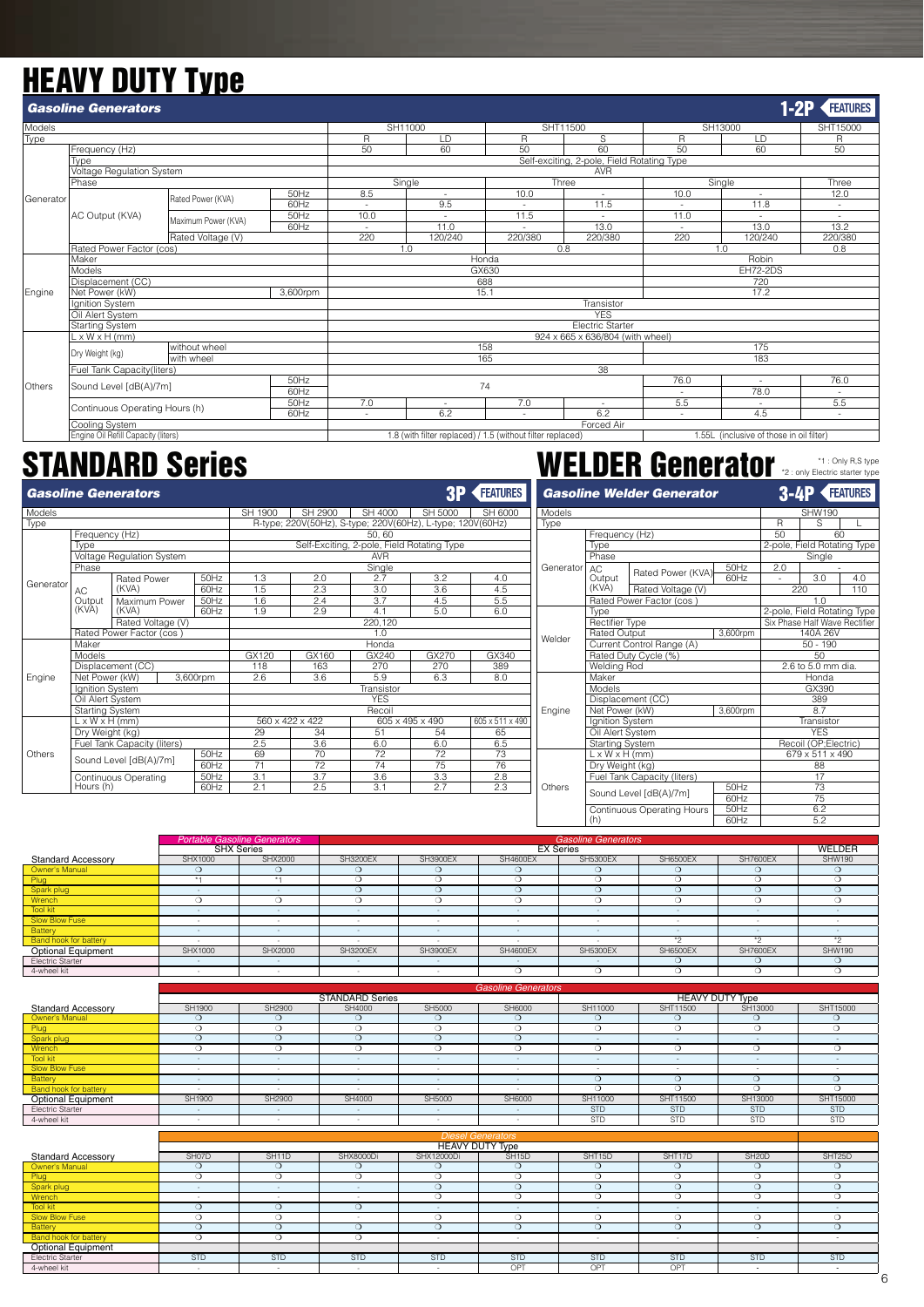## **HEAVY DUTY Type**

|               | <b>Gasoline Generators</b>                            |                     |          |        |          |                                                            |                                            |                                                                                                                                                                                                                  |                                          | <b>FEATURES</b> |
|---------------|-------------------------------------------------------|---------------------|----------|--------|----------|------------------------------------------------------------|--------------------------------------------|------------------------------------------------------------------------------------------------------------------------------------------------------------------------------------------------------------------|------------------------------------------|-----------------|
| Models        |                                                       |                     |          |        | SH11000  |                                                            | SHT11500                                   |                                                                                                                                                                                                                  |                                          | SHT15000        |
| Type          |                                                       |                     |          | R      | LD       | R                                                          | S                                          | $1-2P$<br>SH13000<br>$\mathsf{R}$<br>LD<br>50<br>60<br>Single<br>10.0<br>$\overline{\phantom{a}}$<br>11.8<br>11.0<br>13.0<br>٠<br>220<br>120/240<br>1.0<br>Robin<br><b>EH72-2DS</b><br>720<br>17.2<br>175<br>183 | R                                        |                 |
|               | Frequency (Hz)                                        |                     |          | 50     | 60       | 50                                                         | 60                                         |                                                                                                                                                                                                                  |                                          | 50              |
|               | Tvpe                                                  |                     |          |        |          |                                                            | Self-exciting, 2-pole, Field Rotating Type |                                                                                                                                                                                                                  |                                          |                 |
|               | Voltage Regulation System                             |                     |          |        |          |                                                            | <b>AVR</b>                                 |                                                                                                                                                                                                                  |                                          |                 |
|               | Phase                                                 |                     |          |        | Single   |                                                            | Three                                      |                                                                                                                                                                                                                  |                                          | Three           |
| Generator     |                                                       | Rated Power (KVA)   | 50Hz     | 8.5    | ٠        | 10.0                                                       | $\sim$                                     |                                                                                                                                                                                                                  |                                          | 12.0            |
|               |                                                       |                     | 60Hz     |        | 9.5      |                                                            | 11.5                                       |                                                                                                                                                                                                                  |                                          | $\sim$          |
|               | AC Output (KVA)                                       | Maximum Power (KVA) | 50Hz     | 10.0   |          | 11.5                                                       |                                            |                                                                                                                                                                                                                  |                                          |                 |
|               |                                                       |                     | 60Hz     | $\sim$ | 11.0     |                                                            | 13.0                                       |                                                                                                                                                                                                                  |                                          | 13.2            |
|               |                                                       | Rated Voltage (V)   |          | 220    | 120/240  | 220/380                                                    | 220/380                                    |                                                                                                                                                                                                                  |                                          | 220/380         |
|               | Rated Power Factor (cos)                              |                     |          |        | 1.0      | 0.8                                                        |                                            |                                                                                                                                                                                                                  |                                          | 0.8             |
|               | Maker                                                 |                     |          |        |          | Honda                                                      |                                            |                                                                                                                                                                                                                  |                                          |                 |
|               | Models                                                |                     |          |        |          | GX630                                                      |                                            |                                                                                                                                                                                                                  |                                          |                 |
|               | Displacement (CC)                                     |                     |          |        |          | 688                                                        |                                            |                                                                                                                                                                                                                  |                                          |                 |
| Engine        | Net Power (kW)                                        |                     | 3,600rpm |        |          | 15.1                                                       |                                            |                                                                                                                                                                                                                  |                                          |                 |
|               | Ignition System                                       |                     |          |        |          |                                                            | Transistor                                 |                                                                                                                                                                                                                  |                                          |                 |
|               | Oil Alert System                                      |                     |          |        |          |                                                            | <b>YFS</b>                                 |                                                                                                                                                                                                                  |                                          |                 |
|               | Starting System                                       |                     |          |        |          |                                                            | <b>Electric Starter</b>                    |                                                                                                                                                                                                                  |                                          |                 |
|               | $L \times W \times H$ (mm)                            |                     |          |        |          |                                                            | 924 x 665 x 636/804 (with wheel)           |                                                                                                                                                                                                                  |                                          |                 |
|               | Dry Weight (kg)                                       | without wheel       |          |        |          | 158                                                        |                                            |                                                                                                                                                                                                                  |                                          |                 |
|               |                                                       | with wheel          |          |        |          | 165                                                        |                                            |                                                                                                                                                                                                                  |                                          |                 |
|               | Fuel Tank Capacity(liters)                            |                     |          |        |          |                                                            | 38                                         |                                                                                                                                                                                                                  |                                          |                 |
| <b>Others</b> | Sound Level [dB(A)/7m]                                |                     | 50Hz     |        |          | 74                                                         |                                            | 76.0                                                                                                                                                                                                             | $\overline{\phantom{a}}$                 | 76.0            |
|               |                                                       |                     | 60Hz     |        |          |                                                            |                                            | $\overline{\phantom{a}}$                                                                                                                                                                                         | 78.0                                     | 5.5             |
|               | Continuous Operating Hours (h)                        |                     | 50Hz     | 7.0    | ٠<br>6.2 | 7.0                                                        | ٠<br>6.2                                   | 5.5                                                                                                                                                                                                              | $\sim$<br>4.5                            |                 |
|               |                                                       |                     | 60Hz     | $\sim$ |          |                                                            |                                            | ٠                                                                                                                                                                                                                |                                          | ٠               |
|               | Cooling System<br>Engine Oil Refill Capacity (liters) |                     |          |        |          | 1.8 (with filter replaced) / 1.5 (without filter replaced) | Forced Air                                 |                                                                                                                                                                                                                  | 1.55L (inclusive of those in oil filter) |                 |
|               |                                                       |                     |          |        |          |                                                            |                                            |                                                                                                                                                                                                                  |                                          |                 |

|           |                            | <b>Gasoline Generators</b>  |          |         |                                                            |                                            |                 | <b>3P FEATURES</b> | G.  |
|-----------|----------------------------|-----------------------------|----------|---------|------------------------------------------------------------|--------------------------------------------|-----------------|--------------------|-----|
| Models    |                            |                             |          | SH 1900 | SH 2900                                                    | SH 4000                                    | SH 5000         | SH 6000            | Moo |
| Type      |                            |                             |          |         | R-type; 220V(50Hz), S-type; 220V(60Hz), L-type; 120V(60Hz) |                                            |                 |                    | Typ |
|           | Frequency (Hz)             |                             |          |         |                                                            | 50.60                                      |                 |                    |     |
|           | Type                       |                             |          |         |                                                            | Self-Exciting, 2-pole, Field Rotating Type |                 |                    |     |
|           |                            | Voltage Regulation System   |          |         |                                                            | <b>AVR</b>                                 |                 |                    |     |
|           | Phase                      |                             |          |         |                                                            | Single                                     |                 |                    | Ger |
| Generator |                            | <b>Rated Power</b>          | 50Hz     | 1.3     | 2.0                                                        | 2.7                                        | 3.2             | 4.0                |     |
|           | AC.                        | (KVA)                       | 60Hz     | 1.5     | 2.3                                                        | 3.0                                        | 3.6             | 4.5                |     |
|           | Output                     | Maximum Power               | 50Hz     | 1.6     | 2.4                                                        | 3.7                                        | 4.5             | 5.5                |     |
|           | (KVA)                      | (KVA)                       | 60Hz     | 1.9     | 2.9                                                        | 4.1                                        | 5.0             | 6.0                |     |
|           |                            | Rated Voltage (V)           |          |         |                                                            | 220,120                                    |                 |                    |     |
|           |                            | Rated Power Factor (cos)    |          |         |                                                            | 1.0                                        |                 |                    | Wel |
|           | Maker                      |                             |          |         |                                                            | Honda                                      |                 |                    |     |
|           | Models                     |                             |          | GX120   | GX160                                                      | GX240                                      | GX270           | GX340              |     |
|           |                            | Displacement (CC)           |          | 118     | 163                                                        | 270                                        | 270             | 389                |     |
| Engine    | Net Power (kW)             |                             | 3,600rpm | 2.6     | 3.6                                                        | 5.9                                        | 6.3             | 8.0                |     |
|           | Ignition System            |                             |          |         |                                                            | Transistor                                 |                 |                    |     |
|           | Oil Alert System           |                             |          |         |                                                            | <b>YFS</b>                                 |                 |                    |     |
|           | <b>Starting System</b>     |                             |          |         |                                                            | Recoil                                     |                 |                    | Eng |
|           | $L \times W \times H$ (mm) |                             |          |         | 560 x 422 x 422                                            |                                            | 605 x 495 x 490 | 605 x 511 x 490    |     |
|           | Dry Weight (kg)            |                             |          | 29      | 34                                                         | 51                                         | 54              | 65                 |     |
|           |                            | Fuel Tank Capacity (liters) |          | 2.5     | 3.6                                                        | 6.0                                        | 6.0             | 6.5                |     |
| Others    |                            | Sound Level [dB(A)/7m]      | 50Hz     | 69      | 70                                                         | 72                                         | 72              | 73                 |     |
|           |                            |                             | 60Hz     | 71      | 72                                                         | 74                                         | 75              | 76                 |     |
|           |                            | <b>Continuous Operating</b> | 50Hz     | 3.1     | 3.7                                                        | 3.6                                        | 3.3             | 2.8                |     |
|           | Hours (h)                  |                             | 60Hz     | 2.1     | 2.5                                                        | 3.1                                        | 2.7             | 2.3                | Oth |

## STANDARD Series **STANDARD Series And Service Starter type** Starter type Starter type **STANDARD**

*Gasoline Welder Generator*

**3-4P FEATURES** 

| Models    |                            |                             |          |     | <b>SHW190</b>                 |     |
|-----------|----------------------------|-----------------------------|----------|-----|-------------------------------|-----|
| Type      |                            |                             |          | R   | S                             | г   |
|           | Frequency (Hz)             |                             |          | 50  | 60                            |     |
|           | Type                       |                             |          |     | 2-pole, Field Rotating Type   |     |
|           | Phase                      |                             |          |     | Single                        |     |
| Generator | AC                         | Rated Power (KVA)           | 50Hz     | 2.0 |                               |     |
|           | Output                     |                             | 60Hz     |     | 3.0                           | 4.0 |
|           | (KVA)                      | Rated Voltage (V)           |          |     | 220                           | 110 |
|           |                            | Rated Power Factor (cos)    |          |     | 1.0                           |     |
|           | <b>Type</b>                |                             |          |     | 2-pole, Field Rotating Type   |     |
|           | Rectifier Type             |                             |          |     | Six Phase Half Wave Rectifier |     |
| Welder    | Rated Output               |                             | 3,600rpm |     | 140A 26V                      |     |
|           |                            | Current Control Range (A)   |          |     | $50 - 190$                    |     |
|           |                            | Rated Duty Cycle (%)        |          |     | 50                            |     |
|           | Welding Rod                |                             |          |     | 2.6 to 5.0 mm dia.            |     |
|           | Maker                      |                             |          |     | Honda                         |     |
|           | Models                     |                             |          |     | GX390                         |     |
|           |                            | Displacement (CC)           |          |     | 389                           |     |
| Engine    | Net Power (kW)             |                             | 3,600rpm |     | 8.7                           |     |
|           | Ignition System            |                             |          |     | Transistor                    |     |
|           | Oil Alert System           |                             |          |     | <b>YFS</b>                    |     |
|           | <b>Starting System</b>     |                             |          |     | Recoil (OP;Electric)          |     |
|           | $L \times W \times H$ (mm) |                             |          |     | 679 x 511 x 490               |     |
|           | Dry Weight (kg)            |                             |          |     | 88                            |     |
|           |                            | Fuel Tank Capacity (liters) |          |     | 17                            |     |
| Others    |                            |                             | 50Hz     |     | 73                            |     |
|           |                            | Sound Level [dB(A)/7m]      | 60Hz     |     | 75                            |     |
|           |                            | Continuous Operating Hours  | 50Hz     |     | 6.2                           |     |
|           | (h)                        |                             | 60Hz     |     | 5.2                           |     |
|           |                            |                             |          |     |                               |     |

|                              |                   | <b>Portable Gasoline Generators</b> |                 |                 |                 | <b>Gasoline Generators</b> |                 |                 |               |
|------------------------------|-------------------|-------------------------------------|-----------------|-----------------|-----------------|----------------------------|-----------------|-----------------|---------------|
|                              | <b>SHX Series</b> |                                     |                 |                 |                 | <b>EX Series</b>           |                 |                 | WELDER        |
| <b>Standard Accessory</b>    | SHX1000           | <b>SHX2000</b>                      | <b>SH3200EX</b> | <b>SH3900EX</b> | <b>SH4600EX</b> | <b>SH5300EX</b>            | SH6500EX        | <b>SH7600EX</b> | <b>SHW190</b> |
| Owner's Manual               |                   |                                     |                 |                 |                 |                            |                 |                 |               |
| Plug                         |                   |                                     |                 |                 |                 | c                          |                 |                 |               |
| Spark plug                   |                   | -                                   |                 |                 |                 |                            |                 |                 |               |
| Wrench                       |                   |                                     |                 | 0               |                 | Ω                          |                 | 0               |               |
| Tool kit                     |                   | $\sim$                              | $\overline{a}$  | $\sim$          | $\overline{a}$  | $\sim$                     | $\sim$          | $\sim$          |               |
| Slow Blow Fuse               |                   |                                     |                 | -               |                 | -                          |                 |                 |               |
| Battery                      |                   |                                     |                 | $\sim$          |                 | $\sim$                     |                 |                 |               |
| <b>Band hook for battery</b> |                   | -                                   |                 | -               |                 |                            | $*$             | $*$             | $*$           |
| <b>Optional Equipment</b>    | SHX1000           | SHX2000                             | <b>SH3200EX</b> | <b>SH3900EX</b> | <b>SH4600EX</b> | <b>SH5300EX</b>            | <b>SH6500EX</b> | <b>SH7600EX</b> | <b>SHW190</b> |
| Electric Starter             | $\sim$            | $\sim$                              | $\sim$          | $\sim$          | $\overline{a}$  | $\sim$                     | . .             | ∩               | c             |
| 4-wheel kit                  |                   | $\sim$                              |                 |                 |                 |                            |                 | ι.              | ι.            |
|                              |                   |                                     |                 |                 |                 |                            |                 |                 |               |

|                                               |                  |                    |                        |                   | <b>Gasoline Generators</b> |                           |                          |                        |                          |
|-----------------------------------------------|------------------|--------------------|------------------------|-------------------|----------------------------|---------------------------|--------------------------|------------------------|--------------------------|
|                                               |                  |                    | <b>STANDARD Series</b> |                   |                            |                           |                          | <b>HEAVY DUTY Type</b> |                          |
| <b>Standard Accessorv</b>                     | SH1900           | SH2900             | SH4000                 | SH5000            | SH6000                     | SH11000                   | SHT11500                 | SH13000                | SHT15000                 |
| Owner's Manual                                | $\Omega$         | $\Omega$           | $\Omega$               | $\Omega$          | $\Omega$                   | $\Omega$                  | $\Omega$                 | ∩                      | $\Omega$                 |
| Plug                                          | $\circ$          | $\circ$            | $\circ$                | $\circ$           | $\circ$                    | $\circ$                   | $\Omega$                 | $\circ$                | $\circ$                  |
| Spark plug                                    | $\Omega$         | $\circ$            | $\Omega$               | $\circ$           | $\circ$                    | $\sim$                    | $\sim$                   | $\sim$                 | $\sim$                   |
| Wrench                                        | $\Omega$         | $\circ$            | $\Omega$               | $\circ$           | $\Omega$                   | $\circ$                   | $\Omega$                 | $\overline{O}$         | $\Omega$                 |
| <b>Tool kit</b>                               | $\sim$           | $\sim$             | $\sim$                 | $\sim$            | $\sim$                     | $\sim$                    | $\sim$                   | $\sim$                 | $\sim$                   |
| <b>Slow Blow Fuse</b>                         | $\sim$           | $\sim$             | $\sim$                 | $\sim$            | $\sim$                     | $\overline{\phantom{a}}$  | $\overline{\phantom{a}}$ |                        | $\overline{\phantom{a}}$ |
| Battery                                       | $\sim$           | $\sim$             | $\sim$                 | $\sim$            | $\sim$                     | $\circ$                   | $\Omega$                 | $\circ$                | $\circ$                  |
| <b>Band hook for battery</b>                  | $\sim$           | $\sim$             | $\sim$                 | $\sim$            | $\sim$                     | $\Omega$                  | $\Omega$                 | $\Omega$               | $\Omega$                 |
| Optional Equipment                            | SH1900           | SH2900             | SH4000                 | SH5000            | SH6000                     | SH11000                   | SHT11500                 | SH13000                | SHT15000                 |
| <b>Electric Starter</b>                       | $\sim$           | $\sim$             | $\sim$                 | $\sim$            | $\sim$                     | <b>STD</b>                | <b>STD</b>               | <b>STD</b>             | <b>STD</b>               |
| 4-wheel kit                                   | $\sim$           | $\sim$             | $\sim$                 | $\sim$            | $\sim$                     | <b>STD</b>                | <b>STD</b>               | <b>STD</b>             | <b>STD</b>               |
|                                               |                  |                    |                        |                   |                            |                           |                          |                        |                          |
|                                               |                  |                    |                        |                   |                            |                           |                          |                        |                          |
|                                               |                  |                    |                        |                   | <b>Diesel Generators</b>   |                           |                          |                        |                          |
|                                               |                  |                    |                        |                   | <b>HEAVY DUTY Type</b>     |                           |                          |                        |                          |
| <b>Standard Accessory</b>                     | SH07D            | SH <sub>11</sub> D | SHX8000Di              | SHX12000Di        | SH <sub>15</sub> D         | SHT <sub>15D</sub>        | SHT17D                   | SH <sub>20</sub> D     | SHT <sub>25</sub> D      |
| Owner's Manual                                | $\Omega$         | $\circ$            | $\Omega$               | $\circ$           | $\circ$                    | $\circ$                   | $\Omega$                 | $\circ$                | $\Omega$                 |
| Plug                                          | $\circ$          | $\circ$            | $\circ$                | $\circ$           | $\circ$                    | $\circ$                   | $\circ$                  | $\circ$                | $\circ$                  |
| Spark plug                                    | $\sim$<br>$\sim$ | $\sim$<br>$\sim$   | $\sim$<br>$\sim$       | $\circ$           | $\Omega$                   | $\circ$                   | $\Omega$                 | $\Omega$               | $\Omega$                 |
| Wrench                                        | $\Omega$         |                    |                        | $\circ$<br>$\sim$ | $\circ$<br>$\sim$          | $\circ$<br>$\overline{a}$ | $\Omega$<br>۰            | $\circ$<br>$\sim$      | ∩<br>$\sim$              |
| <b>Tool kit</b>                               | $\circ$          | $\circ$<br>$\circ$ | $\circ$<br>$\sim$      | $\circ$           | $\circ$                    | $\circ$                   | $\circ$                  | $\circ$                | $\circ$                  |
| <b>Slow Blow Fuse</b>                         | $\Omega$         | $\circ$            | $\circ$                | $\circ$           | $\circ$                    | $\circ$                   | $\Omega$                 | $\circ$                | $\Omega$                 |
| Battery                                       | $\Omega$         | $\bigcirc$         | $\bigcirc$             | $\sim$            | $\sim$                     | $\sim$                    | $\sim$                   | $\sim$                 | $\sim$                   |
| <b>Band hook for battery</b>                  |                  |                    |                        |                   |                            |                           |                          |                        |                          |
| <b>Optional Equipment</b><br>Electric Starter | <b>STD</b>       | <b>STD</b>         | <b>STD</b>             | <b>STD</b>        | <b>STD</b>                 | <b>STD</b>                | <b>STD</b>               | <b>STD</b>             | <b>STD</b>               |